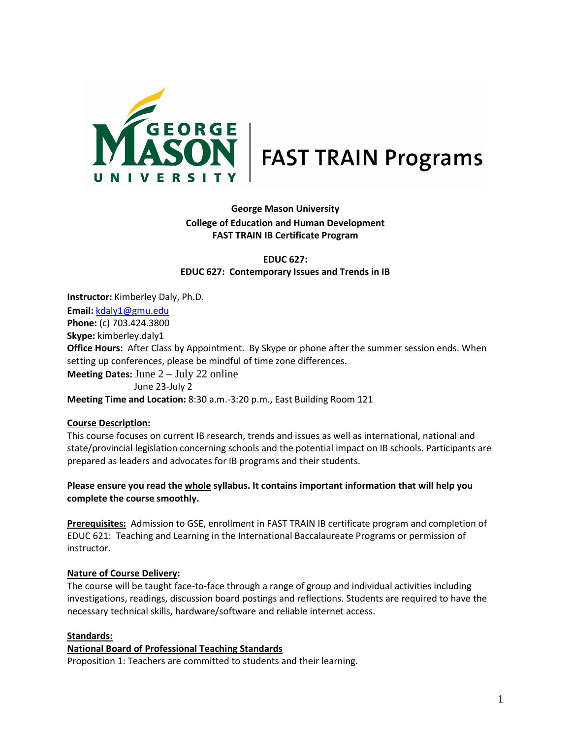

# **George Mason University College of Education and Human Development FAST TRAIN IB Certificate Program**

**EDUC 627: EDUC 627: Contemporary Issues and Trends in IB**

**Instructor:** Kimberley Daly, Ph.D. **Email:** kdaly1@gmu.edu **Phone:** (c) 703.424.3800 **Skype:** kimberley.daly1 **Office Hours:** After Class by Appointment. By Skype or phone after the summer session ends. When setting up conferences, please be mindful of time zone differences. **Meeting Dates:** June 2 – July 22 online June 23-July 2 **Meeting Time and Location:** 8:30 a.m.-3:20 p.m., East Building Room 121

#### **Course Description:**

This course focuses on current IB research, trends and issues as well as international, national and state/provincial legislation concerning schools and the potential impact on IB schools. Participants are prepared as leaders and advocates for IB programs and their students.

## **Please ensure you read the whole syllabus. It contains important information that will help you complete the course smoothly.**

**Prerequisites:** Admission to GSE, enrollment in FAST TRAIN IB certificate program and completion of EDUC 621: Teaching and Learning in the International Baccalaureate Programs or permission of instructor.

#### **Nature of Course Delivery:**

The course will be taught face-to-face through a range of group and individual activities including investigations, readings, discussion board postings and reflections. Students are required to have the necessary technical skills, hardware/software and reliable internet access.

## **Standards:**

#### **National Board of Professional Teaching Standards**

Proposition 1: Teachers are committed to students and their learning.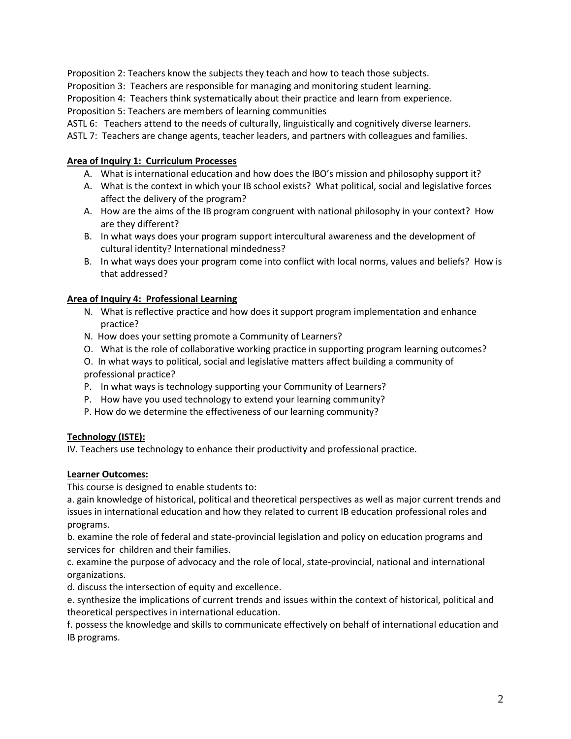Proposition 2: Teachers know the subjects they teach and how to teach those subjects.

Proposition 3: Teachers are responsible for managing and monitoring student learning.

Proposition 4: Teachers think systematically about their practice and learn from experience. Proposition 5: Teachers are members of learning communities

ASTL 6: Teachers attend to the needs of culturally, linguistically and cognitively diverse learners.

ASTL 7: Teachers are change agents, teacher leaders, and partners with colleagues and families.

## **Area of Inquiry 1: Curriculum Processes**

- A. What is international education and how does the IBO's mission and philosophy support it?
- A. What is the context in which your IB school exists? What political, social and legislative forces affect the delivery of the program?
- A. How are the aims of the IB program congruent with national philosophy in your context? How are they different?
- B. In what ways does your program support intercultural awareness and the development of cultural identity? International mindedness?
- B. In what ways does your program come into conflict with local norms, values and beliefs? How is that addressed?

## **Area of Inquiry 4: Professional Learning**

- N. What is reflective practice and how does it support program implementation and enhance practice?
- N. How does your setting promote a Community of Learners?
- O. What is the role of collaborative working practice in supporting program learning outcomes?
- O. In what ways to political, social and legislative matters affect building a community of professional practice?
- P. In what ways is technology supporting your Community of Learners?
- P. How have you used technology to extend your learning community?
- P. How do we determine the effectiveness of our learning community?

#### **Technology (ISTE):**

IV. Teachers use technology to enhance their productivity and professional practice.

#### **Learner Outcomes:**

This course is designed to enable students to:

a. gain knowledge of historical, political and theoretical perspectives as well as major current trends and issues in international education and how they related to current IB education professional roles and programs.

b. examine the role of federal and state-provincial legislation and policy on education programs and services for children and their families.

c. examine the purpose of advocacy and the role of local, state-provincial, national and international organizations.

d. discuss the intersection of equity and excellence.

e. synthesize the implications of current trends and issues within the context of historical, political and theoretical perspectives in international education.

f. possess the knowledge and skills to communicate effectively on behalf of international education and IB programs.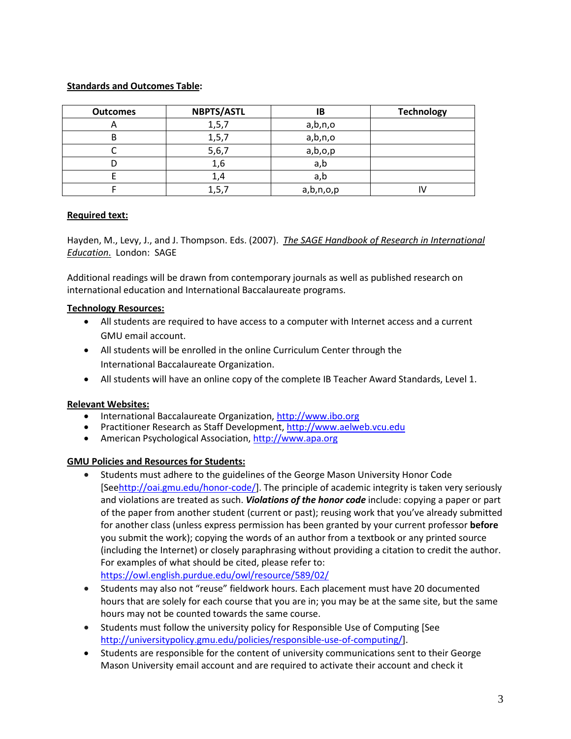## **Standards and Outcomes Table:**

| <b>Outcomes</b> | <b>NBPTS/ASTL</b> | ΙB        | <b>Technology</b> |
|-----------------|-------------------|-----------|-------------------|
| $\mathsf{m}$    | 1, 5, 7           | a,b,n,o   |                   |
| D               | 1, 5, 7           | a,b,n,o   |                   |
|                 | 5,6,7             | a,b,o,p   |                   |
|                 | 1,6               | a,b       |                   |
|                 | 1,4               | a,b       |                   |
|                 | 1, 5, .           | a,b,n,o,p |                   |

## **Required text:**

Hayden, M., Levy, J., and J. Thompson. Eds. (2007). *The SAGE Handbook of Research in International Education*. London: SAGE

Additional readings will be drawn from contemporary journals as well as published research on international education and International Baccalaureate programs.

## **Technology Resources:**

- All students are required to have access to a computer with Internet access and a current GMU email account.
- All students will be enrolled in the online Curriculum Center through the International Baccalaureate Organization.
- All students will have an online copy of the complete IB Teacher Award Standards, Level 1.

#### **Relevant Websites:**

- International Baccalaureate Organization, [http://www.ibo.org](http://www.ibo.org/)
- Practitioner Research as Staff Development[, http://www.aelweb.vcu.edu](http://www.aelweb.vcu.edu/)
- American Psychological Association[, http://www.apa.org](http://www.apa.org/)

# **GMU Policies and Resources for Students:**

- Students must adhere to the guidelines of the George Mason University Honor Code [Se[ehttp://oai.gmu.edu/honor-code/\]](http://oai.gmu.edu/honor-code). The principle of academic integrity is taken very seriously and violations are treated as such. *Violations of the honor code* include: copying a paper or part of the paper from another student (current or past); reusing work that you've already submitted for another class (unless express permission has been granted by your current professor **before**  you submit the work); copying the words of an author from a textbook or any printed source (including the Internet) or closely paraphrasing without providing a citation to credit the author. For examples of what should be cited, please refer to: <https://owl.english.purdue.edu/owl/resource/589/02/>
- Students may also not "reuse" fieldwork hours. Each placement must have 20 documented hours that are solely for each course that you are in; you may be at the same site, but the same hours may not be counted towards the same course.
- Students must follow the university policy for Responsible Use of Computing [See [http://universitypolicy.gmu.edu/policies/responsible-use-of-computing/\].](http://universitypolicy.gmu.edu/1301gen.html)
- [Students are responsible for the content of university communications sent to their George](http://universitypolicy.gmu.edu/1301gen.html)  [Mason University email account and are required](http://universitypolicy.gmu.edu/1301gen.html) to activate their account and check it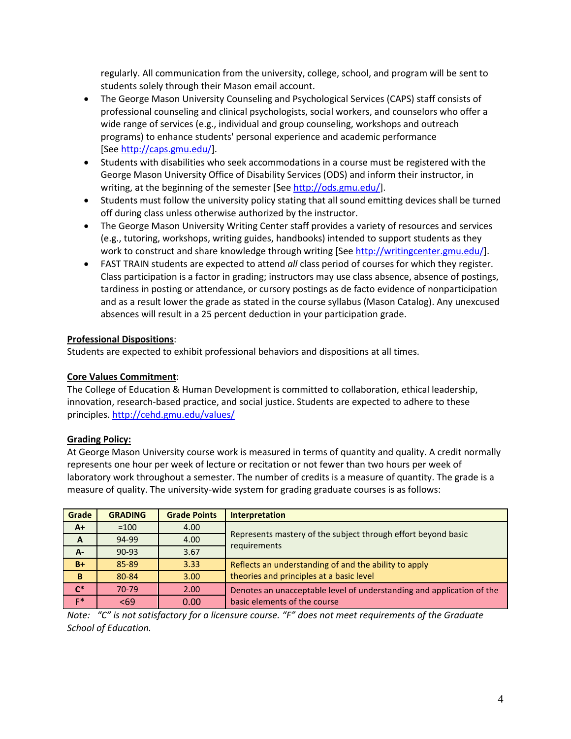[regularly. All communication from the university, college, school, and program will be sent to](http://universitypolicy.gmu.edu/1301gen.html)  [students solely through their Mason email account.](http://universitypolicy.gmu.edu/1301gen.html)

- The George Mason University Counseling and Psychological Services (CAPS) staff consists of [professional counseling and clinical psychologists, social workers, and counselors who offer a](http://universitypolicy.gmu.edu/1301gen.html)  [wide range of services \(e.g., individual and group counseling, workshops and](http://universitypolicy.gmu.edu/1301gen.html) outreach [programs\) to enhance students' personal experience and academic performance](http://universitypolicy.gmu.edu/1301gen.html)  [\[See](http://universitypolicy.gmu.edu/1301gen.html) [http://caps.gmu.edu/\]](http://universitypolicy.gmu.edu/1301gen.html).
- Students with disabilities who seek accommodations in a course must be registered with the George Mason University Office of Disability Services (ODS) and inform their instructor, in writing, at the beginning of the semester [See [http://ods.gmu.edu/\]](http://ods.gmu.edu/).
- Students must follow the university policy stating that all sound emitting devices shall be turned off during class unless otherwise authorized by the instructor.
- The George Mason University Writing Center staff provides a variety of resources and services (e.g., tutoring, workshops, writing guides, handbooks) intended to support students as they work to construct and share knowledge through writing [See [http://writingcenter.gmu.edu/\]](http://writingcenter.gmu.edu/).
- FAST TRAIN students are expected to attend *all* class period of courses for which they register. Class participation is a factor in grading; instructors may use class absence, absence of postings, tardiness in posting or attendance, or cursory postings as de facto evidence of nonparticipation and as a result lower the grade as stated in the course syllabus (Mason Catalog). Any unexcused absences will result in a 25 percent deduction in your participation grade.

## **Professional Dispositions**:

Students are expected to exhibit professional behaviors and dispositions at all times.

#### **Core Values Commitment**:

The College of Education & Human Development is committed to collaboration, ethical leadership, innovation, research-based practice, and social justice. Students are expected to adhere to these principles. <http://cehd.gmu.edu/values/>

#### **Grading Policy:**

At George Mason University course work is measured in terms of quantity and quality. A credit normally represents one hour per week of lecture or recitation or not fewer than two hours per week of laboratory work throughout a semester. The number of credits is a measure of quantity. The grade is a measure of quality. The university-wide system for grading graduate courses is as follows:

| Grade          | <b>GRADING</b> | <b>Grade Points</b> | <b>Interpretation</b>                                                         |
|----------------|----------------|---------------------|-------------------------------------------------------------------------------|
| $A+$           | $=100$         | 4.00                |                                                                               |
| $\overline{A}$ | 94-99          | 4.00                | Represents mastery of the subject through effort beyond basic<br>requirements |
| $A -$          | $90 - 93$      | 3.67                |                                                                               |
| $B+$           | 85-89          | 3.33                | Reflects an understanding of and the ability to apply                         |
| B              | 80-84          | 3.00                | theories and principles at a basic level                                      |
| $C^*$          | 70-79          | 2.00                | Denotes an unacceptable level of understanding and application of the         |
| $F*$           | < 69           | 0.00                | basic elements of the course                                                  |

*Note: "C" is not satisfactory for a licensure course. "F" does not meet requirements of the Graduate School of Education.*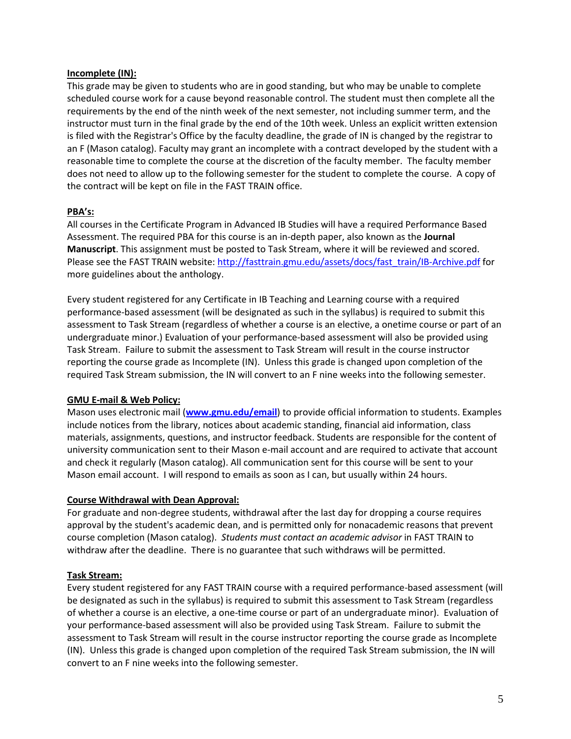### **Incomplete (IN):**

This grade may be given to students who are in good standing, but who may be unable to complete scheduled course work for a cause beyond reasonable control. The student must then complete all the requirements by the end of the ninth week of the next semester, not including summer term, and the instructor must turn in the final grade by the end of the 10th week. Unless an explicit written extension is filed with the Registrar's Office by the faculty deadline, the grade of IN is changed by the registrar to an F (Mason catalog). Faculty may grant an incomplete with a contract developed by the student with a reasonable time to complete the course at the discretion of the faculty member. The faculty member does not need to allow up to the following semester for the student to complete the course. A copy of the contract will be kept on file in the FAST TRAIN office.

## **PBA's:**

All courses in the Certificate Program in Advanced IB Studies will have a required Performance Based Assessment. The required PBA for this course is an in-depth paper, also known as the **Journal Manuscript**. This assignment must be posted to Task Stream, where it will be reviewed and scored. Please see the FAST TRAIN website: [http://fasttrain.gmu.edu/assets/docs/fast\\_train/IB-Archive.pdf](http://fasttrain.gmu.edu/assets/docs/fast_train/IB-Archive.pdf) for more guidelines about the anthology.

Every student registered for any Certificate in IB Teaching and Learning course with a required performance-based assessment (will be designated as such in the syllabus) is required to submit this assessment to Task Stream (regardless of whether a course is an elective, a onetime course or part of an undergraduate minor.) Evaluation of your performance-based assessment will also be provided using Task Stream. Failure to submit the assessment to Task Stream will result in the course instructor reporting the course grade as Incomplete (IN). Unless this grade is changed upon completion of the required Task Stream submission, the IN will convert to an F nine weeks into the following semester.

## **GMU E-mail & Web Policy:**

Mason uses electronic mail (**[www.gmu.edu/email](http://www.gmu.edu/email)**) to provide official information to students. Examples include notices from the library, notices about academic standing, financial aid information, class materials, assignments, questions, and instructor feedback. Students are responsible for the content of university communication sent to their Mason e-mail account and are required to activate that account and check it regularly (Mason catalog). All communication sent for this course will be sent to your Mason email account. I will respond to emails as soon as I can, but usually within 24 hours.

#### **Course Withdrawal with Dean Approval:**

For graduate and non-degree students, withdrawal after the last day for dropping a course requires approval by the student's academic dean, and is permitted only for nonacademic reasons that prevent course completion (Mason catalog). *Students must contact an academic advisor* in FAST TRAIN to withdraw after the deadline. There is no guarantee that such withdraws will be permitted.

## **Task Stream:**

Every student registered for any FAST TRAIN course with a required performance-based assessment (will be designated as such in the syllabus) is required to submit this assessment to Task Stream (regardless of whether a course is an elective, a one-time course or part of an undergraduate minor). Evaluation of your performance-based assessment will also be provided using Task Stream. Failure to submit the assessment to Task Stream will result in the course instructor reporting the course grade as Incomplete (IN). Unless this grade is changed upon completion of the required Task Stream submission, the IN will convert to an F nine weeks into the following semester.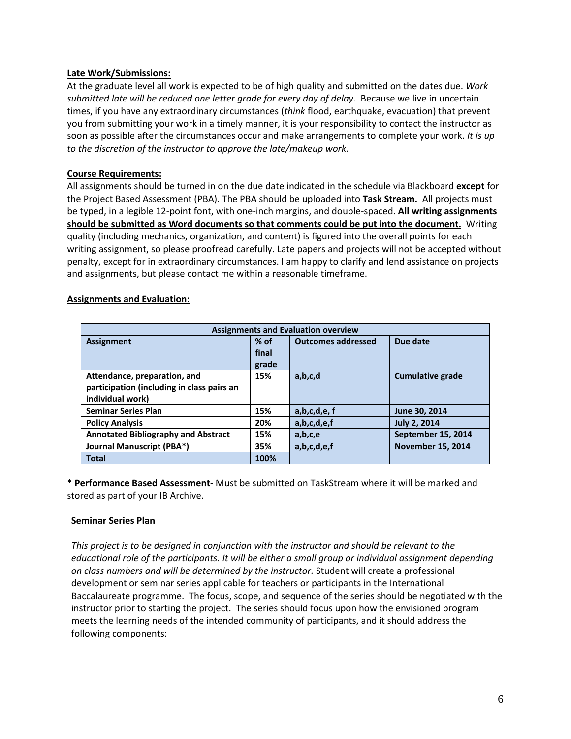## **Late Work/Submissions:**

At the graduate level all work is expected to be of high quality and submitted on the dates due. *Work submitted late will be reduced one letter grade for every day of delay.*Because we live in uncertain times, if you have any extraordinary circumstances (*think* flood, earthquake, evacuation) that prevent you from submitting your work in a timely manner, it is your responsibility to contact the instructor as soon as possible after the circumstances occur and make arrangements to complete your work. *It is up to the discretion of the instructor to approve the late/makeup work.*

## **Course Requirements:**

All assignments should be turned in on the due date indicated in the schedule via Blackboard **except** for the Project Based Assessment (PBA). The PBA should be uploaded into **Task Stream.** All projects must be typed, in a legible 12-point font, with one-inch margins, and double-spaced. **All writing assignments should be submitted as Word documents so that comments could be put into the document.** Writing quality (including mechanics, organization, and content) is figured into the overall points for each writing assignment, so please proofread carefully. Late papers and projects will not be accepted without penalty, except for in extraordinary circumstances. I am happy to clarify and lend assistance on projects and assignments, but please contact me within a reasonable timeframe.

## **Assignments and Evaluation:**

| <b>Assignments and Evaluation overview</b> |        |                           |                          |  |
|--------------------------------------------|--------|---------------------------|--------------------------|--|
| <b>Assignment</b>                          | $%$ of | <b>Outcomes addressed</b> | Due date                 |  |
|                                            | final  |                           |                          |  |
|                                            | grade  |                           |                          |  |
| Attendance, preparation, and               | 15%    | a,b,c,d                   | <b>Cumulative grade</b>  |  |
| participation (including in class pairs an |        |                           |                          |  |
| individual work)                           |        |                           |                          |  |
| <b>Seminar Series Plan</b>                 | 15%    | a,b,c,d,e,f               | June 30, 2014            |  |
| <b>Policy Analysis</b>                     | 20%    | a,b,c,d,e,f               | <b>July 2, 2014</b>      |  |
| <b>Annotated Bibliography and Abstract</b> | 15%    | a,b,c,e                   | September 15, 2014       |  |
| Journal Manuscript (PBA*)                  | 35%    | a,b,c,d,e,f               | <b>November 15, 2014</b> |  |
| <b>Total</b>                               | 100%   |                           |                          |  |

\* **Performance Based Assessment-** Must be submitted on TaskStream where it will be marked and stored as part of your IB Archive.

#### **Seminar Series Plan**

*This project is to be designed in conjunction with the instructor and should be relevant to the educational role of the participants. It will be either a small group or individual assignment depending on class numbers and will be determined by the instructor.* Student will create a professional development or seminar series applicable for teachers or participants in the International Baccalaureate programme. The focus, scope, and sequence of the series should be negotiated with the instructor prior to starting the project. The series should focus upon how the envisioned program meets the learning needs of the intended community of participants, and it should address the following components: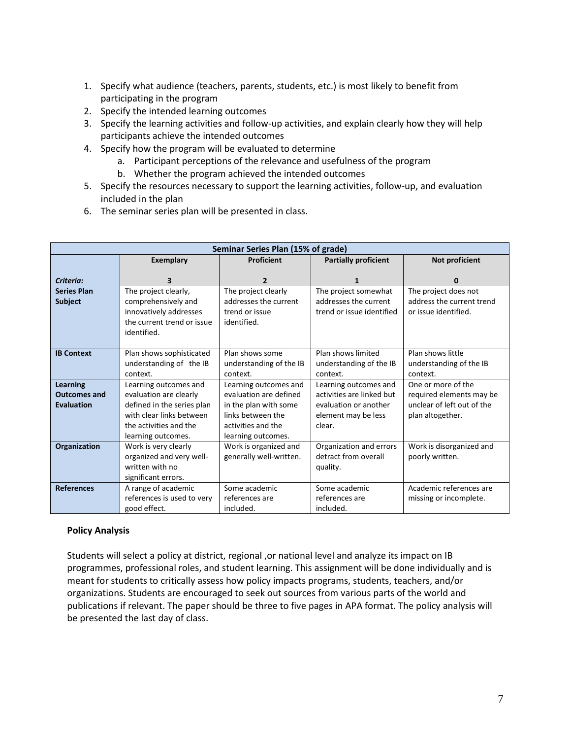- 1. Specify what audience (teachers, parents, students, etc.) is most likely to benefit from participating in the program
- 2. Specify the intended learning outcomes
- 3. Specify the learning activities and follow-up activities, and explain clearly how they will help participants achieve the intended outcomes
- 4. Specify how the program will be evaluated to determine
	- a. Participant perceptions of the relevance and usefulness of the program
	- b. Whether the program achieved the intended outcomes
- 5. Specify the resources necessary to support the learning activities, follow-up, and evaluation included in the plan
- 6. The seminar series plan will be presented in class.

|                     | Seminar Series Plan (15% of grade) |                         |                             |                            |
|---------------------|------------------------------------|-------------------------|-----------------------------|----------------------------|
|                     | <b>Exemplary</b>                   | <b>Proficient</b>       | <b>Partially proficient</b> | Not proficient             |
|                     |                                    |                         |                             |                            |
| Criteria:           |                                    | 2                       | 1                           | 0                          |
| <b>Series Plan</b>  | The project clearly,               | The project clearly     | The project somewhat        | The project does not       |
| <b>Subject</b>      | comprehensively and                | addresses the current   | addresses the current       | address the current trend  |
|                     | innovatively addresses             | trend or issue          | trend or issue identified   | or issue identified.       |
|                     | the current trend or issue         | identified.             |                             |                            |
|                     | identified.                        |                         |                             |                            |
|                     |                                    |                         |                             |                            |
| <b>IB Context</b>   | Plan shows sophisticated           | Plan shows some         | Plan shows limited          | Plan shows little          |
|                     | understanding of the IB            | understanding of the IB | understanding of the IB     | understanding of the IB    |
|                     | context.                           | context.                | context.                    | context.                   |
| Learning            | Learning outcomes and              | Learning outcomes and   | Learning outcomes and       | One or more of the         |
| <b>Outcomes and</b> | evaluation are clearly             | evaluation are defined  | activities are linked but   | required elements may be   |
| Evaluation          | defined in the series plan         | in the plan with some   | evaluation or another       | unclear of left out of the |
|                     | with clear links between           | links between the       | element may be less         | plan altogether.           |
|                     | the activities and the             | activities and the      | clear.                      |                            |
|                     | learning outcomes.                 | learning outcomes.      |                             |                            |
| Organization        | Work is very clearly               | Work is organized and   | Organization and errors     | Work is disorganized and   |
|                     | organized and very well-           | generally well-written. | detract from overall        | poorly written.            |
|                     | written with no                    |                         | quality.                    |                            |
|                     | significant errors.                |                         |                             |                            |
| <b>References</b>   | A range of academic                | Some academic           | Some academic               | Academic references are    |
|                     | references is used to very         | references are          | references are              | missing or incomplete.     |
|                     | good effect.                       | included.               | included.                   |                            |

#### **Policy Analysis**

Students will select a policy at district, regional ,or national level and analyze its impact on IB programmes, professional roles, and student learning. This assignment will be done individually and is meant for students to critically assess how policy impacts programs, students, teachers, and/or organizations. Students are encouraged to seek out sources from various parts of the world and publications if relevant. The paper should be three to five pages in APA format. The policy analysis will be presented the last day of class.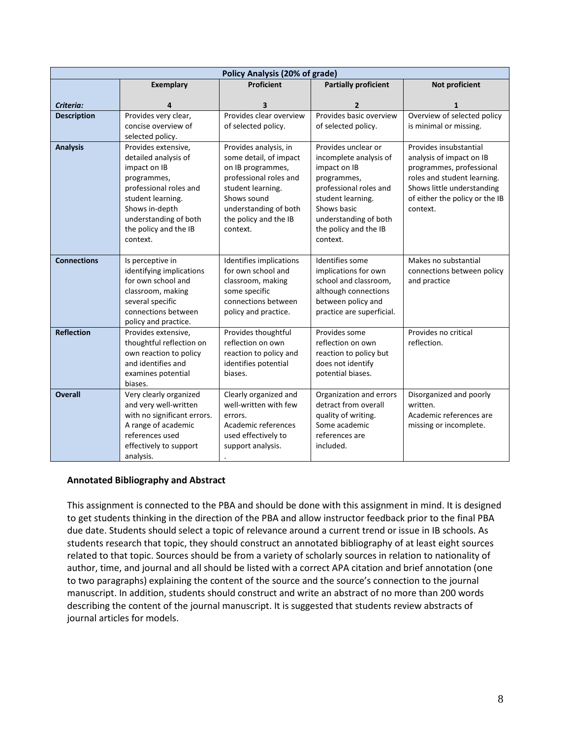|                    |                                             | <b>Policy Analysis (20% of grade)</b> |                                            |                                                       |
|--------------------|---------------------------------------------|---------------------------------------|--------------------------------------------|-------------------------------------------------------|
|                    | <b>Exemplary</b>                            | Proficient                            | <b>Partially proficient</b>                | Not proficient                                        |
|                    |                                             |                                       |                                            |                                                       |
| Criteria:          | 4                                           | 3<br>Provides clear overview          | 2<br>Provides basic overview               | 1                                                     |
| <b>Description</b> | Provides very clear,<br>concise overview of | of selected policy.                   | of selected policy.                        | Overview of selected policy<br>is minimal or missing. |
|                    | selected policy.                            |                                       |                                            |                                                       |
| <b>Analysis</b>    | Provides extensive,                         | Provides analysis, in                 | Provides unclear or                        | Provides insubstantial                                |
|                    | detailed analysis of                        | some detail, of impact                | incomplete analysis of                     | analysis of impact on IB                              |
|                    | impact on IB                                | on IB programmes,                     | impact on IB                               | programmes, professional                              |
|                    | programmes,                                 | professional roles and                | programmes,                                | roles and student learning.                           |
|                    | professional roles and                      | student learning.                     | professional roles and                     | Shows little understanding                            |
|                    | student learning.                           | Shows sound                           | student learning.                          | of either the policy or the IB                        |
|                    | Shows in-depth                              | understanding of both                 | Shows basic                                | context.                                              |
|                    | understanding of both                       | the policy and the IB                 | understanding of both                      |                                                       |
|                    | the policy and the IB                       | context.                              | the policy and the IB                      |                                                       |
|                    | context.                                    |                                       | context.                                   |                                                       |
|                    |                                             |                                       |                                            |                                                       |
| <b>Connections</b> | Is perceptive in                            | Identifies implications               | Identifies some                            | Makes no substantial                                  |
|                    | identifying implications                    | for own school and                    | implications for own                       | connections between policy                            |
|                    | for own school and                          | classroom, making                     | school and classroom,                      | and practice                                          |
|                    | classroom, making<br>several specific       | some specific<br>connections between  | although connections<br>between policy and |                                                       |
|                    | connections between                         | policy and practice.                  | practice are superficial.                  |                                                       |
|                    | policy and practice.                        |                                       |                                            |                                                       |
| <b>Reflection</b>  | Provides extensive,                         | Provides thoughtful                   | Provides some                              | Provides no critical                                  |
|                    | thoughtful reflection on                    | reflection on own                     | reflection on own                          | reflection.                                           |
|                    | own reaction to policy                      | reaction to policy and                | reaction to policy but                     |                                                       |
|                    | and identifies and                          | identifies potential                  | does not identify                          |                                                       |
|                    | examines potential                          | biases.                               | potential biases.                          |                                                       |
|                    | biases.                                     |                                       |                                            |                                                       |
| <b>Overall</b>     | Very clearly organized                      | Clearly organized and                 | Organization and errors                    | Disorganized and poorly                               |
|                    | and very well-written                       | well-written with few                 | detract from overall                       | written.                                              |
|                    | with no significant errors.                 | errors.                               | quality of writing.                        | Academic references are                               |
|                    | A range of academic                         | Academic references                   | Some academic                              | missing or incomplete.                                |
|                    | references used                             | used effectively to                   | references are                             |                                                       |
|                    | effectively to support                      | support analysis.                     | included.                                  |                                                       |
|                    | analysis.                                   |                                       |                                            |                                                       |

## **Annotated Bibliography and Abstract**

This assignment is connected to the PBA and should be done with this assignment in mind. It is designed to get students thinking in the direction of the PBA and allow instructor feedback prior to the final PBA due date. Students should select a topic of relevance around a current trend or issue in IB schools. As students research that topic, they should construct an annotated bibliography of at least eight sources related to that topic. Sources should be from a variety of scholarly sources in relation to nationality of author, time, and journal and all should be listed with a correct APA citation and brief annotation (one to two paragraphs) explaining the content of the source and the source's connection to the journal manuscript. In addition, students should construct and write an abstract of no more than 200 words describing the content of the journal manuscript. It is suggested that students review abstracts of journal articles for models.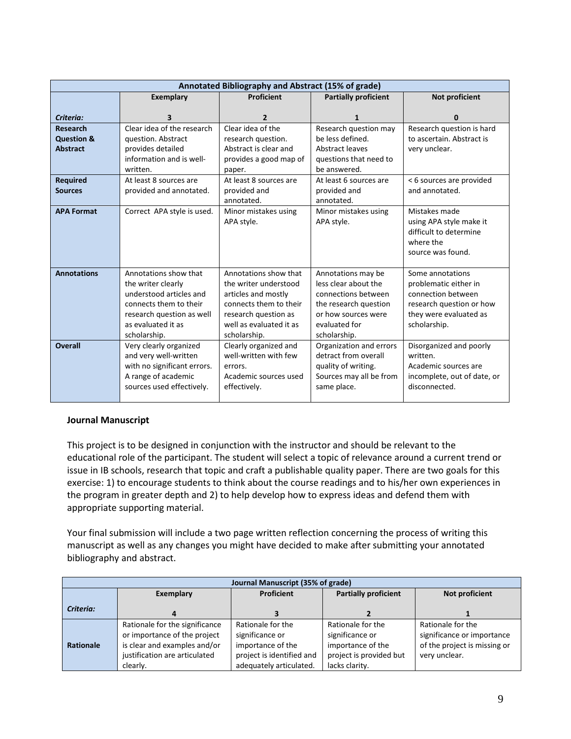|                       |                             | Annotated Bibliography and Abstract (15% of grade) |                             |                             |
|-----------------------|-----------------------------|----------------------------------------------------|-----------------------------|-----------------------------|
|                       | <b>Exemplary</b>            | Proficient                                         | <b>Partially proficient</b> | Not proficient              |
| Criteria:             | 3                           | $\mathbf{2}$                                       | $\mathbf{1}$                | 0                           |
| <b>Research</b>       | Clear idea of the research  | Clear idea of the                                  | Research question may       | Research question is hard   |
| <b>Question &amp;</b> | question. Abstract          | research question.                                 | be less defined.            | to ascertain. Abstract is   |
| <b>Abstract</b>       | provides detailed           | Abstract is clear and                              | Abstract leaves             | very unclear.               |
|                       | information and is well-    | provides a good map of                             | questions that need to      |                             |
|                       | written.                    | paper.                                             | be answered.                |                             |
| <b>Required</b>       | At least 8 sources are      | At least 8 sources are                             | At least 6 sources are      | < 6 sources are provided    |
| <b>Sources</b>        | provided and annotated.     | provided and                                       | provided and                | and annotated.              |
|                       |                             | annotated.                                         | annotated.                  |                             |
| <b>APA Format</b>     | Correct APA style is used.  | Minor mistakes using                               | Minor mistakes using        | Mistakes made               |
|                       |                             | APA style.                                         | APA style.                  | using APA style make it     |
|                       |                             |                                                    |                             | difficult to determine      |
|                       |                             |                                                    |                             | where the                   |
|                       |                             |                                                    |                             | source was found.           |
|                       |                             |                                                    |                             |                             |
| <b>Annotations</b>    | Annotations show that       | Annotations show that                              | Annotations may be          | Some annotations            |
|                       | the writer clearly          | the writer understood                              | less clear about the        | problematic either in       |
|                       | understood articles and     | articles and mostly                                | connections between         | connection between          |
|                       | connects them to their      | connects them to their                             | the research question       | research question or how    |
|                       | research question as well   | research question as                               | or how sources were         | they were evaluated as      |
|                       | as evaluated it as          | well as evaluated it as                            | evaluated for               | scholarship.                |
|                       | scholarship.                | scholarship.                                       | scholarship.                |                             |
| <b>Overall</b>        | Very clearly organized      | Clearly organized and                              | Organization and errors     | Disorganized and poorly     |
|                       | and very well-written       | well-written with few                              | detract from overall        | written.                    |
|                       | with no significant errors. | errors.                                            | quality of writing.         | Academic sources are        |
|                       | A range of academic         | Academic sources used                              | Sources may all be from     | incomplete, out of date, or |
|                       | sources used effectively.   | effectively.                                       | same place.                 | disconnected.               |
|                       |                             |                                                    |                             |                             |

#### **Journal Manuscript**

This project is to be designed in conjunction with the instructor and should be relevant to the educational role of the participant. The student will select a topic of relevance around a current trend or issue in IB schools, research that topic and craft a publishable quality paper. There are two goals for this exercise: 1) to encourage students to think about the course readings and to his/her own experiences in the program in greater depth and 2) to help develop how to express ideas and defend them with appropriate supporting material.

Your final submission will include a two page written reflection concerning the process of writing this manuscript as well as any changes you might have decided to make after submitting your annotated bibliography and abstract.

| Journal Manuscript (35% of grade) |                                                                                                                                             |                                                                                                                   |                                                                                                        |                                                                                                  |
|-----------------------------------|---------------------------------------------------------------------------------------------------------------------------------------------|-------------------------------------------------------------------------------------------------------------------|--------------------------------------------------------------------------------------------------------|--------------------------------------------------------------------------------------------------|
|                                   | Exemplary                                                                                                                                   | Proficient                                                                                                        | <b>Partially proficient</b>                                                                            | Not proficient                                                                                   |
| Criteria:                         |                                                                                                                                             |                                                                                                                   |                                                                                                        |                                                                                                  |
| Rationale                         | Rationale for the significance<br>or importance of the project<br>is clear and examples and/or<br>justification are articulated<br>clearly. | Rationale for the<br>significance or<br>importance of the<br>project is identified and<br>adequately articulated. | Rationale for the<br>significance or<br>importance of the<br>project is provided but<br>lacks clarity. | Rationale for the<br>significance or importance<br>of the project is missing or<br>very unclear. |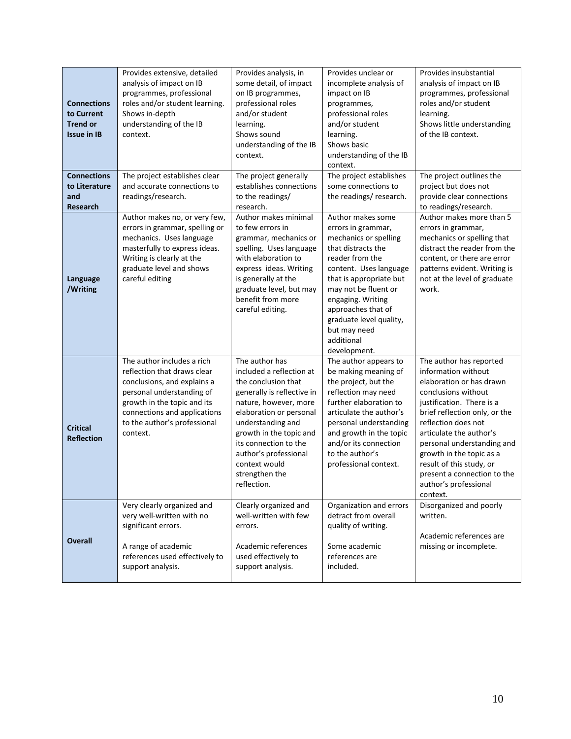| <b>Connections</b><br>to Current<br><b>Trend or</b><br><b>Issue in IB</b> | Provides extensive, detailed<br>analysis of impact on IB<br>programmes, professional<br>roles and/or student learning.<br>Shows in-depth<br>understanding of the IB<br>context.                                                  | Provides analysis, in<br>some detail, of impact<br>on IB programmes,<br>professional roles<br>and/or student<br>learning.<br>Shows sound<br>understanding of the IB<br>context.                                                                                                                         | Provides unclear or<br>incomplete analysis of<br>impact on IB<br>programmes,<br>professional roles<br>and/or student<br>learning.<br>Shows basic<br>understanding of the IB<br>context.                                                                                                                    | Provides insubstantial<br>analysis of impact on IB<br>programmes, professional<br>roles and/or student<br>learning.<br>Shows little understanding<br>of the IB context.                                                                                                                                                                                                     |
|---------------------------------------------------------------------------|----------------------------------------------------------------------------------------------------------------------------------------------------------------------------------------------------------------------------------|---------------------------------------------------------------------------------------------------------------------------------------------------------------------------------------------------------------------------------------------------------------------------------------------------------|------------------------------------------------------------------------------------------------------------------------------------------------------------------------------------------------------------------------------------------------------------------------------------------------------------|-----------------------------------------------------------------------------------------------------------------------------------------------------------------------------------------------------------------------------------------------------------------------------------------------------------------------------------------------------------------------------|
| <b>Connections</b><br>to Literature<br>and<br><b>Research</b>             | The project establishes clear<br>and accurate connections to<br>readings/research.                                                                                                                                               | The project generally<br>establishes connections<br>to the readings/<br>research.                                                                                                                                                                                                                       | The project establishes<br>some connections to<br>the readings/research.                                                                                                                                                                                                                                   | The project outlines the<br>project but does not<br>provide clear connections<br>to readings/research.                                                                                                                                                                                                                                                                      |
| Language<br>/Writing                                                      | Author makes no, or very few,<br>errors in grammar, spelling or<br>mechanics. Uses language<br>masterfully to express ideas.<br>Writing is clearly at the<br>graduate level and shows<br>careful editing                         | Author makes minimal<br>to few errors in<br>grammar, mechanics or<br>spelling. Uses language<br>with elaboration to<br>express ideas. Writing<br>is generally at the<br>graduate level, but may<br>benefit from more<br>careful editing.                                                                | Author makes some<br>errors in grammar,<br>mechanics or spelling<br>that distracts the<br>reader from the<br>content. Uses language<br>that is appropriate but<br>may not be fluent or<br>engaging. Writing<br>approaches that of<br>graduate level quality,<br>but may need<br>additional<br>development. | Author makes more than 5<br>errors in grammar,<br>mechanics or spelling that<br>distract the reader from the<br>content, or there are error<br>patterns evident. Writing is<br>not at the level of graduate<br>work.                                                                                                                                                        |
| <b>Critical</b><br><b>Reflection</b>                                      | The author includes a rich<br>reflection that draws clear<br>conclusions, and explains a<br>personal understanding of<br>growth in the topic and its<br>connections and applications<br>to the author's professional<br>context. | The author has<br>included a reflection at<br>the conclusion that<br>generally is reflective in<br>nature, however, more<br>elaboration or personal<br>understanding and<br>growth in the topic and<br>its connection to the<br>author's professional<br>context would<br>strengthen the<br>reflection. | The author appears to<br>be making meaning of<br>the project, but the<br>reflection may need<br>further elaboration to<br>articulate the author's<br>personal understanding<br>and growth in the topic<br>and/or its connection<br>to the author's<br>professional context.                                | The author has reported<br>information without<br>elaboration or has drawn<br>conclusions without<br>justification. There is a<br>brief reflection only, or the<br>reflection does not<br>articulate the author's<br>personal understanding and<br>growth in the topic as a<br>result of this study, or<br>present a connection to the<br>author's professional<br>context. |
| <b>Overall</b>                                                            | Very clearly organized and<br>very well-written with no<br>significant errors.<br>A range of academic<br>references used effectively to<br>support analysis.                                                                     | Clearly organized and<br>well-written with few<br>errors.<br>Academic references<br>used effectively to<br>support analysis.                                                                                                                                                                            | Organization and errors<br>detract from overall<br>quality of writing.<br>Some academic<br>references are<br>included.                                                                                                                                                                                     | Disorganized and poorly<br>written.<br>Academic references are<br>missing or incomplete.                                                                                                                                                                                                                                                                                    |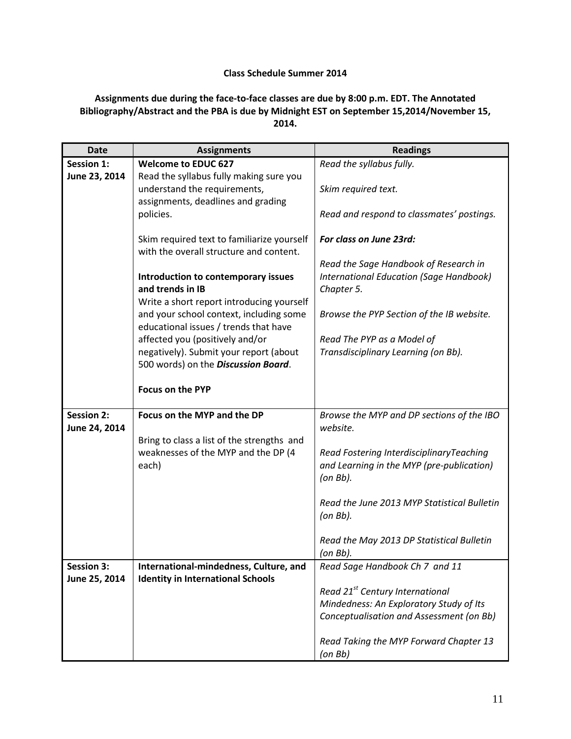## **Class Schedule Summer 2014**

# **Assignments due during the face-to-face classes are due by 8:00 p.m. EDT. The Annotated Bibliography/Abstract and the PBA is due by Midnight EST on September 15,2014/November 15, 2014.**

| <b>Date</b>       | <b>Assignments</b>                         | <b>Readings</b>                                |
|-------------------|--------------------------------------------|------------------------------------------------|
| <b>Session 1:</b> | <b>Welcome to EDUC 627</b>                 | Read the syllabus fully.                       |
| June 23, 2014     | Read the syllabus fully making sure you    |                                                |
|                   | understand the requirements,               | Skim required text.                            |
|                   | assignments, deadlines and grading         |                                                |
|                   | policies.                                  | Read and respond to classmates' postings.      |
|                   | Skim required text to familiarize yourself | For class on June 23rd:                        |
|                   | with the overall structure and content.    |                                                |
|                   |                                            | Read the Sage Handbook of Research in          |
|                   | Introduction to contemporary issues        | <b>International Education (Sage Handbook)</b> |
|                   | and trends in IB                           | Chapter 5.                                     |
|                   | Write a short report introducing yourself  |                                                |
|                   | and your school context, including some    | Browse the PYP Section of the IB website.      |
|                   | educational issues / trends that have      |                                                |
|                   | affected you (positively and/or            | Read The PYP as a Model of                     |
|                   | negatively). Submit your report (about     | Transdisciplinary Learning (on Bb).            |
|                   | 500 words) on the Discussion Board.        |                                                |
|                   | <b>Focus on the PYP</b>                    |                                                |
|                   |                                            |                                                |
| <b>Session 2:</b> | Focus on the MYP and the DP                | Browse the MYP and DP sections of the IBO      |
| June 24, 2014     |                                            | website.                                       |
|                   | Bring to class a list of the strengths and |                                                |
|                   | weaknesses of the MYP and the DP (4        | Read Fostering InterdisciplinaryTeaching       |
|                   | each)                                      | and Learning in the MYP (pre-publication)      |
|                   |                                            | $($ on Bb $).$                                 |
|                   |                                            | Read the June 2013 MYP Statistical Bulletin    |
|                   |                                            | $($ on Bb $).$                                 |
|                   |                                            |                                                |
|                   |                                            | Read the May 2013 DP Statistical Bulletin      |
|                   |                                            | (on Bb).                                       |
| <b>Session 3:</b> | International-mindedness, Culture, and     | Read Sage Handbook Ch 7 and 11                 |
| June 25, 2014     | <b>Identity in International Schools</b>   |                                                |
|                   |                                            | Read 21 <sup>st</sup> Century International    |
|                   |                                            | Mindedness: An Exploratory Study of Its        |
|                   |                                            | Conceptualisation and Assessment (on Bb)       |
|                   |                                            | Read Taking the MYP Forward Chapter 13         |
|                   |                                            |                                                |
|                   |                                            | $($ on Bb $)$                                  |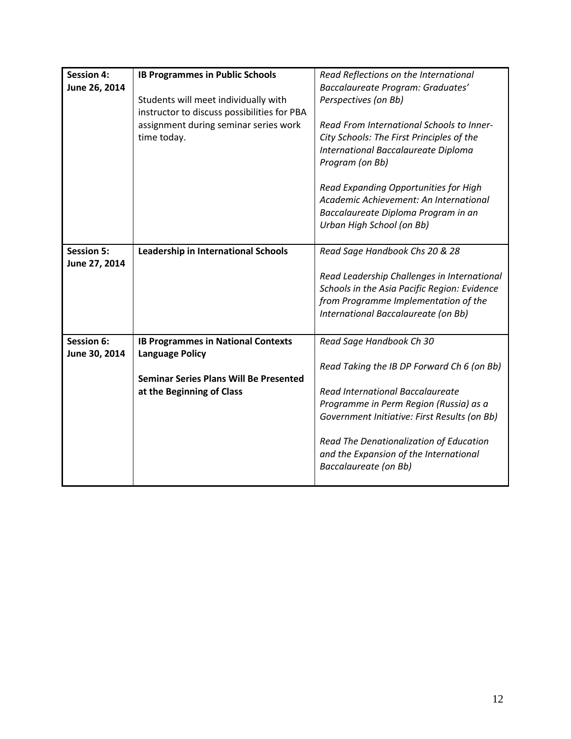| <b>Session 4:</b><br>June 26, 2014 | <b>IB Programmes in Public Schools</b><br>Students will meet individually with<br>instructor to discuss possibilities for PBA | Read Reflections on the International<br>Baccalaureate Program: Graduates'<br>Perspectives (on Bb)                                                  |
|------------------------------------|-------------------------------------------------------------------------------------------------------------------------------|-----------------------------------------------------------------------------------------------------------------------------------------------------|
|                                    | assignment during seminar series work<br>time today.                                                                          | Read From International Schools to Inner-<br>City Schools: The First Principles of the<br>International Baccalaureate Diploma<br>Program (on Bb)    |
|                                    |                                                                                                                               | Read Expanding Opportunities for High<br>Academic Achievement: An International<br>Baccalaureate Diploma Program in an<br>Urban High School (on Bb) |
| <b>Session 5:</b>                  | <b>Leadership in International Schools</b>                                                                                    | Read Sage Handbook Chs 20 & 28                                                                                                                      |
| June 27, 2014                      |                                                                                                                               |                                                                                                                                                     |
|                                    |                                                                                                                               | Read Leadership Challenges in International                                                                                                         |
|                                    |                                                                                                                               | Schools in the Asia Pacific Region: Evidence<br>from Programme Implementation of the                                                                |
|                                    |                                                                                                                               | International Baccalaureate (on Bb)                                                                                                                 |
|                                    |                                                                                                                               |                                                                                                                                                     |
| Session 6:<br>June 30, 2014        | <b>IB Programmes in National Contexts</b><br><b>Language Policy</b>                                                           | Read Sage Handbook Ch 30                                                                                                                            |
|                                    |                                                                                                                               | Read Taking the IB DP Forward Ch 6 (on Bb)                                                                                                          |
|                                    | <b>Seminar Series Plans Will Be Presented</b>                                                                                 |                                                                                                                                                     |
|                                    | at the Beginning of Class                                                                                                     | Read International Baccalaureate<br>Programme in Perm Region (Russia) as a                                                                          |
|                                    |                                                                                                                               | Government Initiative: First Results (on Bb)                                                                                                        |
|                                    |                                                                                                                               |                                                                                                                                                     |
|                                    |                                                                                                                               | Read The Denationalization of Education<br>and the Expansion of the International<br>Baccalaureate (on Bb)                                          |
|                                    |                                                                                                                               |                                                                                                                                                     |